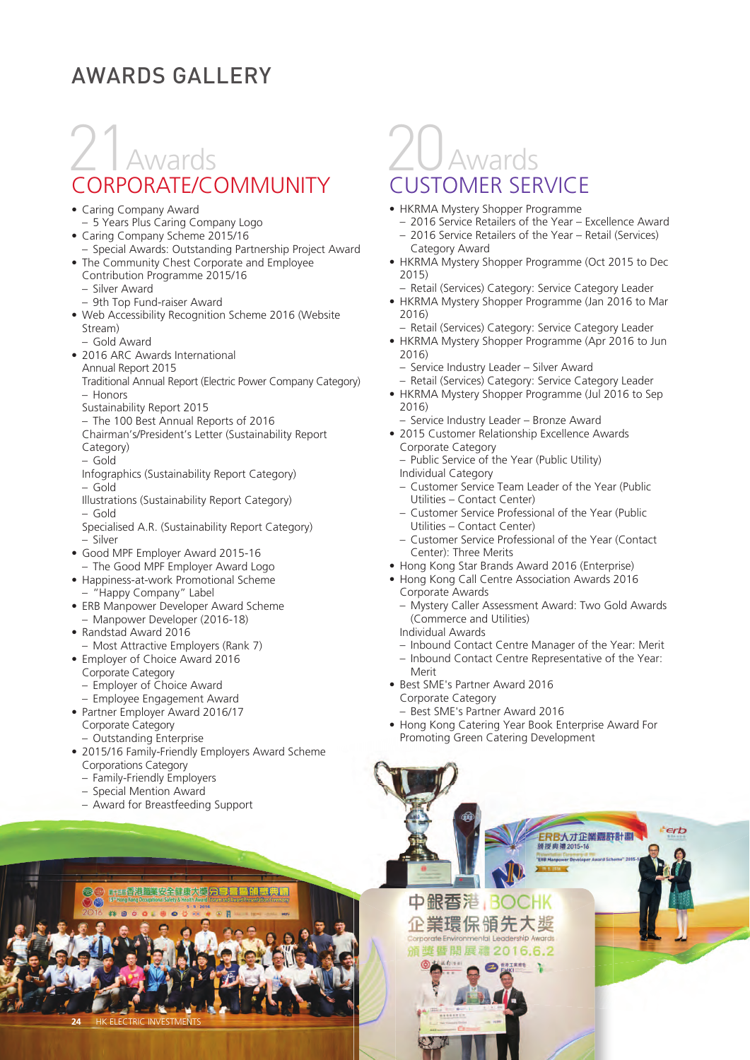#### AWARDS GALLERY

## 21Awards CORPORATE/COMMUNITY

- Caring Company Award
- 5 Years Plus Caring Company Logo
- Caring Company Scheme 2015/16
- Special Awards: Outstanding Partnership Project Award • The Community Chest Corporate and Employee
- Contribution Programme 2015/16
	- Silver Award
	- 9th Top Fund-raiser Award
- Web Accessibility Recognition Scheme 2016 (Website Stream)
	- Gold Award
- 2016 ARC Awards International Annual Report 2015
	- Traditional Annual Report (Electric Power Company Category) – Honors
	- Sustainability Report 2015
	- The 100 Best Annual Reports of 2016
	- Chairman's/President's Letter (Sustainability Report
	- Category)
	- Gold
	- Infographics (Sustainability Report Category) – Gold
	- Illustrations (Sustainability Report Category) – Gold
	- Specialised A.R. (Sustainability Report Category) – Silver
- Good MPF Employer Award 2015-16 – The Good MPF Employer Award Logo
- Happiness-at-work Promotional Scheme – "Happy Company" Label
- ERB Manpower Developer Award Scheme – Manpower Developer (2016-18)
- Randstad Award 2016
- Most Attractive Employers (Rank 7)
- Employer of Choice Award 2016
	- Corporate Category
	- Employer of Choice Award
	- Employee Engagement Award
- Partner Employer Award 2016/17 Corporate Category
	- Outstanding Enterprise
- 2015/16 Family-Friendly Employers Award Scheme Corporations Category

医随起典

- Family-Friendly Employers
- Special Mention Award
- Award for Breastfeeding Support

香港職業安全健康大學停

### 20Awards CUSTOMER SERVICE

- HKRMA Mystery Shopper Programme
	- 2016 Service Retailers of the Year Excellence Award – 2016 Service Retailers of the Year – Retail (Services)
	- Category Award
- HKRMA Mystery Shopper Programme (Oct 2015 to Dec 2015)
- Retail (Services) Category: Service Category Leader • HKRMA Mystery Shopper Programme (Jan 2016 to Mar
- 2016)
- Retail (Services) Category: Service Category Leader • HKRMA Mystery Shopper Programme (Apr 2016 to Jun
	- 2016)
	- Service Industry Leader Silver Award
- Retail (Services) Category: Service Category Leader • HKRMA Mystery Shopper Programme (Jul 2016 to Sep
	- 2016) – Service Industry Leader – Bronze Award
- 2015 Customer Relationship Excellence Awards Corporate Category
- Public Service of the Year (Public Utility) Individual Category
- Customer Service Team Leader of the Year (Public Utilities – Contact Center)
- Customer Service Professional of the Year (Public Utilities – Contact Center)
- Customer Service Professional of the Year (Contact Center): Three Merits
- Hong Kong Star Brands Award 2016 (Enterprise)
- Hong Kong Call Centre Association Awards 2016 Corporate Awards
	- Mystery Caller Assessment Award: Two Gold Awards (Commerce and Utilities)
	- Individual Awards
	- Inbound Contact Centre Manager of the Year: Merit
	- Inbound Contact Centre Representative of the Year: Merit
- Best SME's Partner Award 2016 Corporate Category
	- Best SME's Partner Award 2016

保領先大

• Hong Kong Catering Year Book Enterprise Award For Promoting Green Catering Development

> ERB人才企業嘉許計劃 語掲曲編2015-14